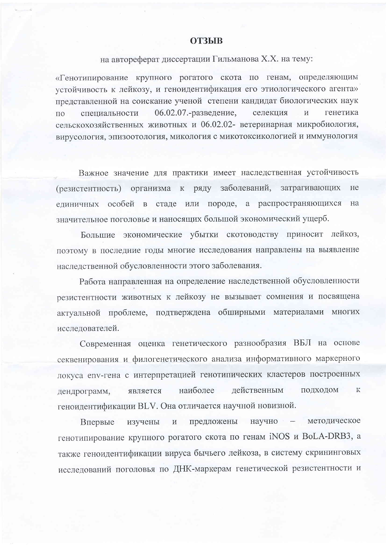## **ОТЗЫВ**

## на автореферат диссертации Гильманова Х.Х. на тему:

«Генотипирование крупного рогатого скота по генам, определяющим устойчивость к лейкозу, и геноидентификация его этиологического агента» представленной на соискание ученой степени кандидат биологических наук 06.02.07.-разведение, селекция  $\overline{M}$ генетика специальности  $\overline{10}$ сельскохозяйственных животных и 06.02.02- ветеринарная микробиология, вирусология, эпизоотология, микология с микотоксикологией и иммунология

Важное значение для практики имеет наследственная устойчивость (резистентность) организма к ряду заболеваний, затрагивающих He единичных особей в стаде или породе, а распространяющихся на значительное поголовье и наносящих большой экономический ущерб.

Большие экономические убытки скотоводству приносит лейкоз, поэтому в последние годы многие исследования направлены на выявление наследственной обусловленности этого заболевания.

Работа направленная на определение наследственной обусловленности резистентности животных к лейкозу не вызывает сомнения и посвящена актуальной проблеме, подтверждена обширными материалами многих исследователей.

Современная оценка генетического разнообразия ВБЛ на основе секвенирования и филогенетического анализа информативного маркерного локуса env-гена с интерпретацией генотипических кластеров построенных наиболее лейственным подходом  ${\bf K}$ дендрограмм, является геноидентификации BLV. Она отличается научной новизной.

предложены научно - методическое Впервые изучены  $\, {\rm M}$ генотипирование крупного рогатого скота по генам iNOS и BoLA-DRB3, а также геноидентификации вируса бычьего лейкоза, в систему скрининговых исследований поголовья по ДНК-маркерам генетической резистентности и